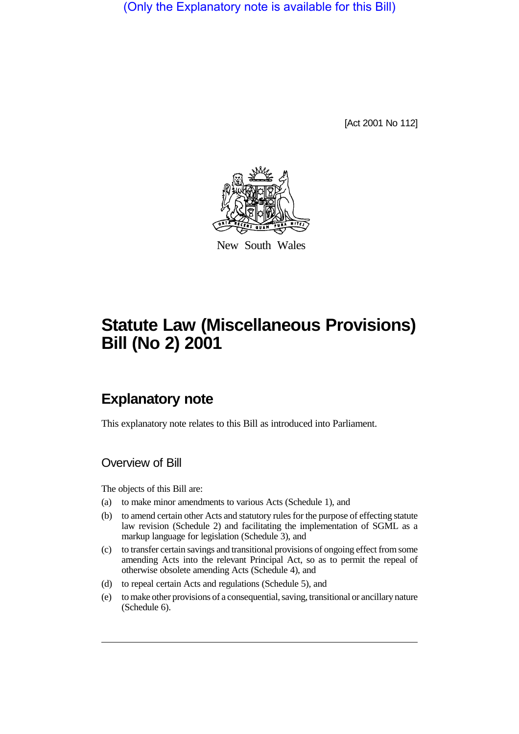(Only the Explanatory note is available for this Bill)

[Act 2001 No 112]



New South Wales

# **Statute Law (Miscellaneous Provisions) Bill (No 2) 2001**

## **Explanatory note**

This explanatory note relates to this Bill as introduced into Parliament.

## Overview of Bill

The objects of this Bill are:

- (a) to make minor amendments to various Acts (Schedule 1), and
- (b) to amend certain other Acts and statutory rules for the purpose of effecting statute law revision (Schedule 2) and facilitating the implementation of SGML as a markup language for legislation (Schedule 3), and
- (c) to transfer certain savings and transitional provisions of ongoing effect from some amending Acts into the relevant Principal Act, so as to permit the repeal of otherwise obsolete amending Acts (Schedule 4), and
- (d) to repeal certain Acts and regulations (Schedule 5), and
- (e) to make other provisions of a consequential, saving, transitional or ancillary nature (Schedule 6).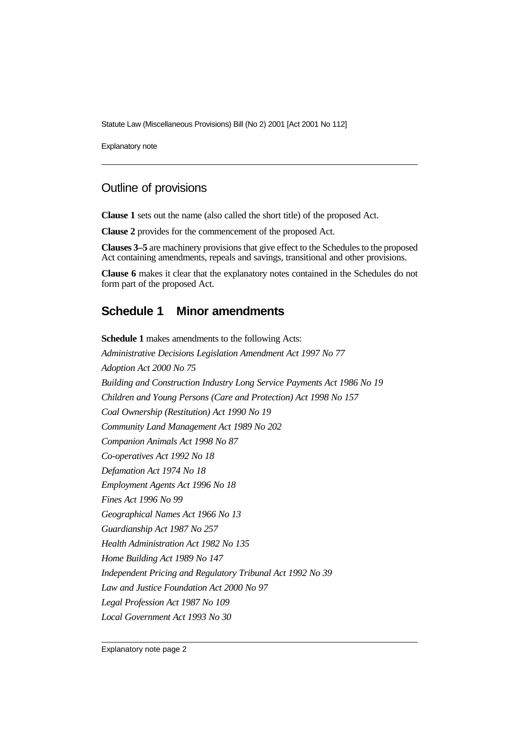Statute Law (Miscellaneous Provisions) Bill (No 2) 2001 [Act 2001 No 112]

Explanatory note

## Outline of provisions

**Clause 1** sets out the name (also called the short title) of the proposed Act.

**Clause 2** provides for the commencement of the proposed Act.

**Clauses 3–5** are machinery provisions that give effect to the Schedules to the proposed Act containing amendments, repeals and savings, transitional and other provisions.

**Clause 6** makes it clear that the explanatory notes contained in the Schedules do not form part of the proposed Act.

#### **Schedule 1 Minor amendments**

**Schedule 1** makes amendments to the following Acts: *Administrative Decisions Legislation Amendment Act 1997 No 77 Adoption Act 2000 No 75 Building and Construction Industry Long Service Payments Act 1986 No 19 Children and Young Persons (Care and Protection) Act 1998 No 157 Coal Ownership (Restitution) Act 1990 No 19 Community Land Management Act 1989 No 202 Companion Animals Act 1998 No 87 Co-operatives Act 1992 No 18 Defamation Act 1974 No 18 Employment Agents Act 1996 No 18 Fines Act 1996 No 99 Geographical Names Act 1966 No 13 Guardianship Act 1987 No 257 Health Administration Act 1982 No 135 Home Building Act 1989 No 147 Independent Pricing and Regulatory Tribunal Act 1992 No 39 Law and Justice Foundation Act 2000 No 97 Legal Profession Act 1987 No 109 Local Government Act 1993 No 30*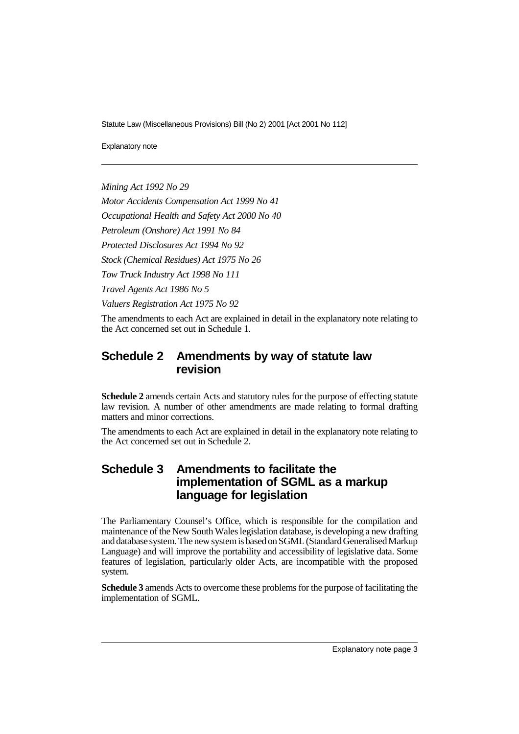Statute Law (Miscellaneous Provisions) Bill (No 2) 2001 [Act 2001 No 112]

Explanatory note

*Mining Act 1992 No 29*

*Motor Accidents Compensation Act 1999 No 41*

*Occupational Health and Safety Act 2000 No 40*

*Petroleum (Onshore) Act 1991 No 84*

*Protected Disclosures Act 1994 No 92*

*Stock (Chemical Residues) Act 1975 No 26*

*Tow Truck Industry Act 1998 No 111*

*Travel Agents Act 1986 No 5*

*Valuers Registration Act 1975 No 92*

The amendments to each Act are explained in detail in the explanatory note relating to the Act concerned set out in Schedule 1.

#### **Schedule 2 Amendments by way of statute law revision**

**Schedule 2** amends certain Acts and statutory rules for the purpose of effecting statute law revision. A number of other amendments are made relating to formal drafting matters and minor corrections.

The amendments to each Act are explained in detail in the explanatory note relating to the Act concerned set out in Schedule 2.

### **Schedule 3 Amendments to facilitate the implementation of SGML as a markup language for legislation**

The Parliamentary Counsel's Office, which is responsible for the compilation and maintenance of the New South Wales legislation database, is developing a new drafting and database system. The new system is based on SGML (Standard Generalised Markup Language) and will improve the portability and accessibility of legislative data. Some features of legislation, particularly older Acts, are incompatible with the proposed system.

**Schedule 3** amends Acts to overcome these problems for the purpose of facilitating the implementation of SGML.